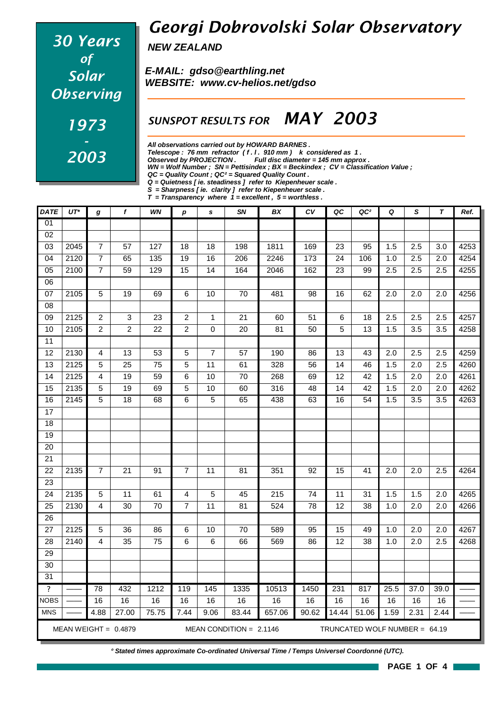# *30 Years of Solar Observing 1973 - 2003*

### *Georgi Dobrovolski Solar Observatory*

*NEW ZEALAND*

*E-MAIL: gdso@earthling.net WEBSITE: www.cv-helios.net/gdso*

#### *SUNSPOT RESULTS FOR MAY 2003*

*All observations carried out by HOWARD BARNES .*

*Telescope : 76 mm refractor ( f . l . 910 mm ) k considered as 1 .*

*Observed by PROJECTION . Full disc diameter = 145 mm approx .*

*WN = Wolf Number ; SN = Pettisindex ; BX = Beckindex ; CV = Classification Value ;*

*QC = Quality Count ; QC² = Squared Quality Count .*

*Q = Quietness [ ie. steadiness ] refer to Kiepenheuer scale .*

*S = Sharpness [ ie. clarity ] refer to Kiepenheuer scale . T = Transparency where 1 = excellent , 5 = worthless .*

| <b>DATE</b>             | $UT^*$ | g                | f                      | WN              | p              | s               | SN                        | BX     | c v             | QC              | QC <sup>2</sup>               | Q                | S                | $\tau$           | Ref. |
|-------------------------|--------|------------------|------------------------|-----------------|----------------|-----------------|---------------------------|--------|-----------------|-----------------|-------------------------------|------------------|------------------|------------------|------|
| 01                      |        |                  |                        |                 |                |                 |                           |        |                 |                 |                               |                  |                  |                  |      |
| 02                      |        |                  |                        |                 |                |                 |                           |        |                 |                 |                               |                  |                  |                  |      |
| 03                      | 2045   | $\overline{7}$   | 57                     | 127             | 18             | 18              | 198                       | 1811   | 169             | 23              | 95                            | 1.5              | 2.5              | 3.0              | 4253 |
| $\overline{04}$         | 2120   | $\boldsymbol{7}$ | 65                     | 135             | 19             | 16              | 206                       | 2246   | 173             | 24              | 106                           | 1.0              | 2.5              | 2.0              | 4254 |
| 05                      | 2100   | $\boldsymbol{7}$ | 59                     | 129             | 15             | 14              | 164                       | 2046   | 162             | 23              | 99                            | 2.5              | 2.5              | 2.5              | 4255 |
| $\overline{06}$         |        |                  |                        |                 |                |                 |                           |        |                 |                 |                               |                  |                  |                  |      |
| 07                      | 2105   | $\overline{5}$   | 19                     | 69              | 6              | 10              | $\overline{70}$           | 481    | $\overline{98}$ | 16              | 62                            | $\overline{2.0}$ | 2.0              | $\overline{2.0}$ | 4256 |
| 08                      |        |                  |                        |                 |                |                 |                           |        |                 |                 |                               |                  |                  |                  |      |
| 09                      | 2125   | $\overline{c}$   | 3                      | 23              | $\overline{c}$ | $\mathbf 1$     | 21                        | 60     | 51              | 6               | 18                            | 2.5              | 2.5              | 2.5              | 4257 |
| 10                      | 2105   | $\overline{c}$   | $\overline{c}$         | $\overline{22}$ | $\overline{c}$ | $\mathbf 0$     | 20                        | 81     | 50              | $\overline{5}$  | 13                            | 1.5              | $\overline{3.5}$ | $\overline{3.5}$ | 4258 |
| 11                      |        |                  |                        |                 |                |                 |                           |        |                 |                 |                               |                  |                  |                  |      |
| 12                      | 2130   | 4                | 13                     | 53              | 5              | $\overline{7}$  | 57                        | 190    | 86              | 13              | 43                            | 2.0              | 2.5              | 2.5              | 4259 |
| 13                      | 2125   | 5                | 25                     | $\overline{75}$ | $\overline{5}$ | $\overline{11}$ | 61                        | 328    | 56              | 14              | 46                            | 1.5              | 2.0              | 2.5              | 4260 |
| 14                      | 2125   | 4                | $\overline{19}$        | 59              | 6              | 10              | 70                        | 268    | 69              | $\overline{12}$ | 42                            | 1.5              | $\overline{2.0}$ | 2.0              | 4261 |
| 15                      | 2135   | 5                | 19                     | 69              | 5              | 10              | 60                        | 316    | 48              | 14              | 42                            | 1.5              | 2.0              | 2.0              | 4262 |
| 16                      | 2145   | $\overline{5}$   | $\overline{18}$        | 68              | 6              | $\overline{5}$  | 65                        | 438    | 63              | 16              | $\overline{54}$               | 1.5              | 3.5              | $\overline{3.5}$ | 4263 |
| $\overline{17}$         |        |                  |                        |                 |                |                 |                           |        |                 |                 |                               |                  |                  |                  |      |
| 18                      |        |                  |                        |                 |                |                 |                           |        |                 |                 |                               |                  |                  |                  |      |
| 19                      |        |                  |                        |                 |                |                 |                           |        |                 |                 |                               |                  |                  |                  |      |
| 20                      |        |                  |                        |                 |                |                 |                           |        |                 |                 |                               |                  |                  |                  |      |
| $\overline{21}$         |        |                  |                        |                 |                |                 |                           |        |                 |                 |                               |                  |                  |                  |      |
| $\overline{22}$         | 2135   | $\overline{7}$   | 21                     | 91              | $\overline{7}$ | $\overline{11}$ | 81                        | 351    | 92              | 15              | 41                            | 2.0              | 2.0              | 2.5              | 4264 |
| 23                      |        |                  |                        |                 |                |                 |                           |        |                 |                 |                               |                  |                  |                  |      |
| 24                      | 2135   | 5                | 11                     | 61              | 4              | 5               | 45                        | 215    | 74              | 11              | 31                            | 1.5              | 1.5              | 2.0              | 4265 |
| 25                      | 2130   | 4                | 30                     | 70              | $\overline{7}$ | 11              | 81                        | 524    | 78              | 12              | 38                            | 1.0              | 2.0              | 2.0              | 4266 |
| 26                      |        |                  |                        |                 |                |                 |                           |        |                 |                 |                               |                  |                  |                  |      |
| 27                      | 2125   | 5                | 36                     | 86              | 6              | 10              | 70                        | 589    | 95              | 15              | 49                            | 1.0              | 2.0              | 2.0              | 4267 |
| 28                      | 2140   | 4                | 35                     | 75              | 6              | 6               | 66                        | 569    | 86              | 12              | 38                            | 1.0              | $\overline{2.0}$ | 2.5              | 4268 |
| 29                      |        |                  |                        |                 |                |                 |                           |        |                 |                 |                               |                  |                  |                  |      |
| 30                      |        |                  |                        |                 |                |                 |                           |        |                 |                 |                               |                  |                  |                  |      |
| 31                      |        |                  |                        |                 |                |                 |                           |        |                 |                 |                               |                  |                  |                  |      |
| $\overline{\mathbf{?}}$ |        | 78               | 432                    | 1212            | 119            | 145             | 1335                      | 10513  | 1450            | 231             | 817                           | 25.5             | 37.0             | 39.0             |      |
| <b>NOBS</b>             |        | 16               | 16                     | 16              | 16             | 16              | 16                        | 16     | 16              | 16              | 16                            | 16               | 16               | 16               |      |
| <b>MNS</b>              |        | 4.88             | 27.00                  | 75.75           | 7.44           | 9.06            | 83.44                     | 657.06 | 90.62           | 14.44           | 51.06                         | 1.59             | 2.31             | 2.44             |      |
|                         |        |                  | MEAN WEIGHT = $0.4879$ |                 |                |                 | MEAN CONDITION = $2.1146$ |        |                 |                 | TRUNCATED WOLF NUMBER = 64.19 |                  |                  |                  |      |

*\* Stated times approximate Co-ordinated Universal Time / Temps Universel Coordonné (UTC).*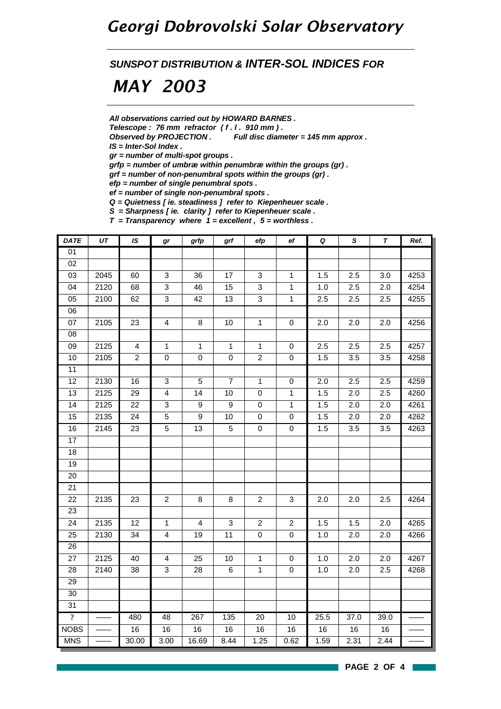#### *Georgi Dobrovolski Solar Observatory*

*SUNSPOT DISTRIBUTION & INTER-SOL INDICES FOR*

# *MAY 2003*

*All observations carried out by HOWARD BARNES .*

*Telescope : 76 mm refractor ( f . l . 910 mm ) .*

*Observed by PROJECTION . Full disc diameter = 145 mm approx .*

*IS = Inter-Sol Index .*

*gr = number of multi-spot groups .*

*grfp = number of umbræ within penumbræ within the groups (gr) .*

*grf = number of non-penumbral spots within the groups (gr) .*

*efp = number of single penumbral spots .*

*ef = number of single non-penumbral spots .*

*Q = Quietness [ ie. steadiness ] refer to Kiepenheuer scale .*

*S = Sharpness [ ie. clarity ] refer to Kiepenheuer scale .*

*T = Transparency where 1 = excellent , 5 = worthless .*

| DATE                    | $U\mathcal{T}$ | IS.             | gr              | grfp                    | grf             | efp                       | e f              | $\pmb Q$ | $\mathsf S$      | $\pmb{\tau}$ | Ref. |
|-------------------------|----------------|-----------------|-----------------|-------------------------|-----------------|---------------------------|------------------|----------|------------------|--------------|------|
| 01                      |                |                 |                 |                         |                 |                           |                  |          |                  |              |      |
| 02                      |                |                 |                 |                         |                 |                           |                  |          |                  |              |      |
| 03                      | 2045           | 60              | 3               | 36                      | 17              | $\ensuremath{\mathsf{3}}$ | $\mathbf{1}$     | 1.5      | 2.5              | 3.0          | 4253 |
| 04                      | 2120           | 68              | 3               | 46                      | 15              | 3                         | $\mathbf{1}$     | 1.0      | 2.5              | 2.0          | 4254 |
| 05                      | 2100           | 62              | $\overline{3}$  | 42                      | $\overline{13}$ | $\overline{3}$            | $\mathbf{1}$     | 2.5      | 2.5              | 2.5          | 4255 |
| 06                      |                |                 |                 |                         |                 |                           |                  |          |                  |              |      |
| 07                      | 2105           | 23              | $\overline{4}$  | $\bf 8$                 | 10              | $\mathbf{1}$              | $\pmb{0}$        | 2.0      | 2.0              | 2.0          | 4256 |
| $\overline{08}$         |                |                 |                 |                         |                 |                           |                  |          |                  |              |      |
| 09                      | 2125           | $\overline{4}$  | $\mathbf{1}$    | $\mathbf{1}$            | $\mathbf{1}$    | $\mathbf{1}$              | $\pmb{0}$        | 2.5      | 2.5              | 2.5          | 4257 |
| 10                      | 2105           | $\overline{a}$  | $\pmb{0}$       | $\mathsf 0$             | $\mathsf 0$     | $\boldsymbol{2}$          | $\mathbf 0$      | 1.5      | 3.5              | 3.5          | 4258 |
| $\overline{11}$         |                |                 |                 |                         |                 |                           |                  |          |                  |              |      |
| 12                      | 2130           | 16              | 3               | $\sqrt{5}$              | $\overline{7}$  | $\mathbf{1}$              | $\boldsymbol{0}$ | 2.0      | 2.5              | 2.5          | 4259 |
| 13                      | 2125           | 29              | $\overline{4}$  | 14                      | 10              | $\pmb{0}$                 | $\mathbf{1}$     | 1.5      | 2.0              | 2.5          | 4260 |
| 14                      | 2125           | $\overline{22}$ | $\overline{3}$  | $\overline{9}$          | $\overline{9}$  | $\overline{0}$            | $\mathbf{1}$     | 1.5      | 2.0              | 2.0          | 4261 |
| $\overline{15}$         | 2135           | 24              | $\overline{5}$  | $\boldsymbol{9}$        | 10              | $\pmb{0}$                 | $\pmb{0}$        | 1.5      | 2.0              | 2.0          | 4262 |
| 16                      | 2145           | 23              | $\overline{5}$  | $\overline{13}$         | $\overline{5}$  | $\overline{0}$            | $\pmb{0}$        | 1.5      | 3.5              | 3.5          | 4263 |
| 17                      |                |                 |                 |                         |                 |                           |                  |          |                  |              |      |
| 18                      |                |                 |                 |                         |                 |                           |                  |          |                  |              |      |
| 19                      |                |                 |                 |                         |                 |                           |                  |          |                  |              |      |
| $\overline{20}$         |                |                 |                 |                         |                 |                           |                  |          |                  |              |      |
| 21                      |                |                 |                 |                         |                 |                           |                  |          |                  |              |      |
| 22                      | 2135           | 23              | $\overline{2}$  | 8                       | 8               | $\boldsymbol{2}$          | $\mathbf{3}$     | 2.0      | 2.0              | 2.5          | 4264 |
| 23                      |                |                 |                 |                         |                 |                           |                  |          |                  |              |      |
| $\overline{24}$         | 2135           | 12              | $\mathbf{1}$    | $\overline{\mathbf{4}}$ | $\mathbf{3}$    | $\boldsymbol{2}$          | $\overline{2}$   | 1.5      | 1.5              | 2.0          | 4265 |
| 25                      | 2130           | 34              | $\overline{4}$  | 19                      | 11              | $\pmb{0}$                 | $\pmb{0}$        | 1.0      | 2.0              | 2.0          | 4266 |
| 26                      |                |                 |                 |                         |                 |                           |                  |          |                  |              |      |
| 27                      | 2125           | 40              | $\overline{4}$  | 25                      | $\overline{10}$ | $\overline{1}$            | 0                | 1.0      | $\overline{2.0}$ | 2.0          | 4267 |
| 28                      | 2140           | 38              | 3               | 28                      | 6               | $\mathbf{1}$              | $\mathbf 0$      | 1.0      | 2.0              | 2.5          | 4268 |
| $\overline{29}$         |                |                 |                 |                         |                 |                           |                  |          |                  |              |      |
| $\overline{30}$         |                |                 |                 |                         |                 |                           |                  |          |                  |              |      |
| 31                      |                |                 |                 |                         |                 |                           |                  |          |                  |              |      |
| $\overline{\mathbf{?}}$ |                | 480             | $\overline{48}$ | 267                     | 135             | $\overline{20}$           | 10               | 25.5     | 37.0             | 39.0         |      |
| <b>NOBS</b>             |                | 16              | 16              | 16                      | 16              | 16                        | 16               | 16       | 16               | 16           |      |
| <b>MNS</b>              |                | 30.00           | 3.00            | 16.69                   | 8.44            | 1.25                      | 0.62             | 1.59     | 2.31             | 2.44         |      |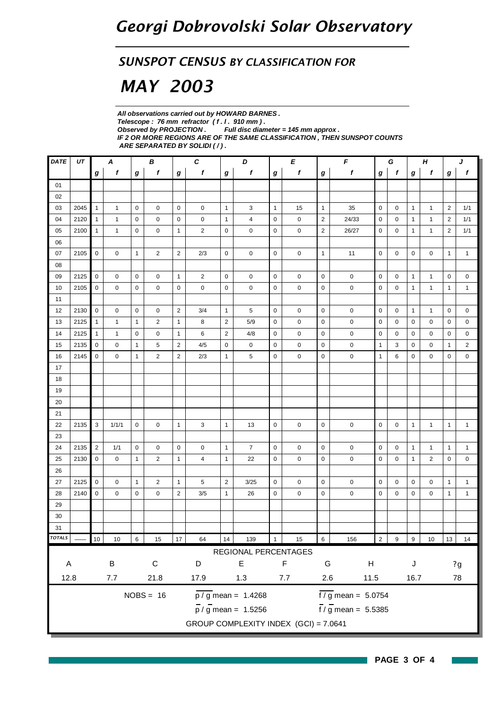#### *SUNSPOT CENSUS BY CLASSIFICATION FOR*

# *MAY 2003*

*All observations carried out by HOWARD BARNES . Telescope : 76 mm refractor ( f . l . 910 mm ) . Full disc diameter = 145 mm approx . IF 2 OR MORE REGIONS ARE OF THE SAME CLASSIFICATION , THEN SUNSPOT COUNTS ARE SEPARATED BY SOLIDI ( / ) .*

| <b>DATE</b>   | UT   |                  | A            |              | B              |                | $\pmb{c}$      |                | D                                         |              | E                          | $\pmb{\mathit{F}}$<br>G<br>Н |                                 |                |                | J              |                |                |              |
|---------------|------|------------------|--------------|--------------|----------------|----------------|----------------|----------------|-------------------------------------------|--------------|----------------------------|------------------------------|---------------------------------|----------------|----------------|----------------|----------------|----------------|--------------|
|               |      | $\boldsymbol{g}$ | f            | g            | f              | g              | $\mathbf f$    | g              | f                                         | g            | f                          | $\boldsymbol{g}$             | $\mathbf f$                     | f<br>g         |                |                | f              | g              | f            |
| 01            |      |                  |              |              |                |                |                |                |                                           |              |                            |                              |                                 |                |                |                |                |                |              |
| 02            |      |                  |              |              |                |                |                |                |                                           |              |                            |                              |                                 |                |                |                |                |                |              |
| 03            | 2045 | $\mathbf{1}$     | 1            | $\mathbf 0$  | 0              | $\mathbf 0$    | $\mathbf 0$    | $\mathbf{1}$   | 3                                         | $\mathbf{1}$ | 15                         | $\mathbf{1}$                 | 35                              | $\mathbf 0$    | 0              | $\mathbf{1}$   | $\mathbf{1}$   | $\overline{2}$ | 1/1          |
| 04            | 2120 | $\mathbf{1}$     | 1            | $\mathbf 0$  | 0              | $\mathsf 0$    | $\mathbf 0$    | $\mathbf{1}$   | 4                                         | $\mathbf 0$  | $\mathbf 0$                | $\overline{2}$               | 24/33                           | $\mathbf 0$    | 0              | $\mathbf{1}$   | $\mathbf{1}$   | $\overline{2}$ | 1/1          |
| 05            | 2100 | $\mathbf{1}$     | $\mathbf{1}$ | 0            | 0              | $\mathbf{1}$   | $\overline{2}$ | 0              | 0                                         | 0            | 0                          | $\overline{2}$               | 26/27                           | $\mathbf 0$    | 0              | $\mathbf{1}$   | $\mathbf{1}$   | 2              | 1/1          |
| 06            |      |                  |              |              |                |                |                |                |                                           |              |                            |                              |                                 |                |                |                |                |                |              |
| 07            | 2105 | $\mathbf 0$      | 0            | $\mathbf{1}$ | $\overline{2}$ | $\overline{2}$ | 2/3            | 0              | 0                                         | $\mathbf 0$  | $\mathbf 0$                | $\mathbf{1}$                 | 11                              | $\mathbf 0$    | $\mathbf 0$    | $\mathbf 0$    | 0              | $\mathbf{1}$   | $\mathbf{1}$ |
| 08            |      |                  |              |              |                |                |                |                |                                           |              |                            |                              |                                 |                |                |                |                |                |              |
| 09            | 2125 | $\mathbf 0$      | 0            | $\mathbf 0$  | 0              | $\mathbf{1}$   | $\overline{2}$ | 0              | 0                                         | 0            | 0                          | $\mathbf 0$                  | $\mathbf 0$                     | $\mathbf 0$    | 0              | $\mathbf{1}$   | $\mathbf{1}$   | 0              | $\mathbf 0$  |
| 10            | 2105 | $\mathbf 0$      | 0            | $\mathbf 0$  | $\mathbf 0$    | 0              | 0              | $\mathbf 0$    | $\mathbf 0$                               | 0            | 0                          | $\pmb{0}$                    | $\mathbf 0$                     | $\mathbf 0$    | 0              | 1              | $\mathbf{1}$   | 1              | $\mathbf{1}$ |
| 11            |      |                  |              |              |                |                |                |                |                                           |              |                            |                              |                                 |                |                |                |                |                |              |
| 12            | 2130 | $\mathbf 0$      | 0            | $\mathbf 0$  | 0              | $\overline{2}$ | 3/4            | $\mathbf{1}$   | 5                                         | $\mathbf 0$  | $\mathbf 0$                | $\mathbf 0$                  | 0                               | $\mathbf 0$    | 0              | $\mathbf{1}$   | $\mathbf{1}$   | $\mathbf 0$    | 0            |
| 13            | 2125 | $\mathbf{1}$     | 1            | $\mathbf{1}$ | 2              | $\mathbf{1}$   | 8              | $\overline{2}$ | 5/9                                       | 0            | 0                          | $\mathbf 0$                  | 0                               | 0              | 0              | 0              | 0              | 0              | 0            |
| 14            | 2125 | $\mathbf{1}$     | 1            | 0            | 0              | $\mathbf{1}$   | 6              | $\overline{2}$ | 4/8                                       | $\mathbf 0$  | $\mathbf 0$                | $\mathbf 0$                  | $\mathbf 0$                     | 0              | 0              | 0              | 0              | 0              | 0            |
| 15            | 2135 | 0                | 0            | $\mathbf{1}$ | 5              | $\overline{c}$ | 4/5            | 0              | 0                                         | 0            | 0                          | 0                            | 0                               | 1              | 3              | 0              | 0              | 1              | 2            |
| 16            | 2145 | $\mathbf 0$      | 0            | $\mathbf{1}$ | $\overline{2}$ | $\overline{2}$ | 2/3            | $\mathbf{1}$   | 5                                         | $\mathbf 0$  | $\mathbf 0$                | $\mathbf 0$                  | 0                               | $\mathbf{1}$   | 6              | 0              | 0              | 0              | 0            |
| 17            |      |                  |              |              |                |                |                |                |                                           |              |                            |                              |                                 |                |                |                |                |                |              |
| 18            |      |                  |              |              |                |                |                |                |                                           |              |                            |                              |                                 |                |                |                |                |                |              |
| 19            |      |                  |              |              |                |                |                |                |                                           |              |                            |                              |                                 |                |                |                |                |                |              |
| 20            |      |                  |              |              |                |                |                |                |                                           |              |                            |                              |                                 |                |                |                |                |                |              |
| 21            |      |                  |              |              |                |                |                |                |                                           |              |                            |                              |                                 |                |                |                |                |                |              |
| 22            | 2135 | 3                | 1/1/1        | $\mathbf 0$  | 0              | $\mathbf{1}$   | 3              | $\mathbf{1}$   | 13                                        | $\mathbf 0$  | $\mathbf 0$                | $\mathbf 0$                  | $\mathbf 0$                     | 0              | 0              | $\mathbf{1}$   | $\mathbf{1}$   | $\mathbf{1}$   | $\mathbf{1}$ |
| 23            |      |                  |              |              |                |                |                |                |                                           |              |                            |                              |                                 |                |                |                |                |                |              |
| 24            | 2135 | 2                | 1/1          | $\mathbf 0$  | 0              | $\mathbf 0$    | $\mathbf 0$    | $\mathbf{1}$   | $\overline{7}$                            | $\mathbf 0$  | 0                          | $\mathbf 0$                  | $\mathbf 0$                     | $\mathbf 0$    | $\mathbf 0$    | $\mathbf{1}$   | $\mathbf{1}$   | $\mathbf{1}$   | $\mathbf{1}$ |
| 25            | 2130 | $\mathbf 0$      | $\mathbf 0$  | $\mathbf{1}$ | $\overline{2}$ | $\mathbf{1}$   | 4              | $\mathbf{1}$   | 22                                        | $\mathbf 0$  | $\mathbf 0$                | $\mathbf 0$                  | $\mathbf 0$                     | $\mathbf 0$    | $\mathbf 0$    | $\mathbf{1}$   | $\overline{2}$ | $\mathbf 0$    | 0            |
| 26            |      |                  |              |              |                |                |                |                |                                           |              |                            |                              |                                 |                |                |                |                |                |              |
| 27            | 2125 | $\mathbf 0$      | $\pmb{0}$    | $\mathbf{1}$ | $\overline{2}$ | $\mathbf{1}$   | 5              | $\overline{2}$ | 3/25                                      | $\mathbf 0$  | $\mathbf 0$                | $\mathbf 0$                  | $\pmb{0}$                       | $\mathbf 0$    | 0              | 0              | 0              | $\mathbf{1}$   | $\mathbf{1}$ |
| 28            | 2140 | $\mathbf 0$      | 0            | 0            | 0              | 2              | 3/5            | $\mathbf{1}$   | 26                                        | 0            | 0                          | $\mathbf 0$                  | 0                               | $\mathbf 0$    | 0              | 0              | 0              | $\mathbf{1}$   | $\mathbf{1}$ |
| 29            |      |                  |              |              |                |                |                |                |                                           |              |                            |                              |                                 |                |                |                |                |                |              |
| 30            |      |                  |              |              |                |                |                |                |                                           |              |                            |                              |                                 |                |                |                |                |                |              |
| 31            |      |                  |              |              |                |                |                |                |                                           |              |                            |                              |                                 |                |                |                |                |                |              |
| <b>TOTALS</b> |      | 10               | $10\,$       | $\,6\,$      | $15\,$         | 17             | 64             | 14             | 139                                       | $\mathbf{1}$ | 15                         | $6\overline{6}$              | 156                             | $\overline{2}$ | $\overline{9}$ | $\overline{9}$ | 10             | 13             | 14           |
|               |      |                  |              |              |                |                |                |                | REGIONAL PERCENTAGES                      |              |                            |                              |                                 |                |                |                |                |                |              |
| A             |      |                  | $\sf B$      |              | ${\bf C}$      |                | D              |                | $\mathsf E$                               |              | $\mathsf F$                | G                            | Н                               |                |                | J              |                |                | 2g           |
| 12.8          |      |                  | 7.7          |              | 21.8           |                | 17.9           |                | 1.3                                       |              | 2.6<br>7.7<br>11.5<br>16.7 |                              |                                 |                |                | 78             |                |                |              |
|               |      |                  |              |              |                |                |                |                |                                           |              |                            |                              |                                 |                |                |                |                |                |              |
|               |      |                  |              |              | $NOBS = 16$    |                |                |                | $\overline{p}/\overline{g}$ mean = 1.4268 |              |                            |                              | $\frac{1}{2}$ mean = 5.0754     |                |                |                |                |                |              |
|               |      |                  |              |              |                |                |                |                | $\frac{1}{p}$ / g mean = 1.5256           |              |                            |                              | $\frac{1}{f}$ / g mean = 5.5385 |                |                |                |                |                |              |
|               |      |                  |              |              |                |                |                |                | GROUP COMPLEXITY INDEX (GCI) = 7.0641     |              |                            |                              |                                 |                |                |                |                |                |              |